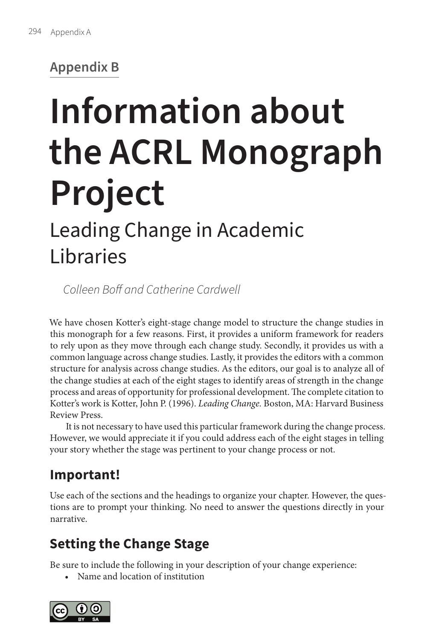# **Appendix B**

# **Information about the ACRL Monograph Project**

# Leading Change in Academic Libraries

*Colleen Boff and Catherine Cardwell*

We have chosen Kotter's eight-stage change model to structure the change studies in this monograph for a few reasons. First, it provides a uniform framework for readers to rely upon as they move through each change study. Secondly, it provides us with a common language across change studies. Lastly, it provides the editors with a common structure for analysis across change studies. As the editors, our goal is to analyze all of the change studies at each of the eight stages to identify areas of strength in the change process and areas of opportunity for professional development. The complete citation to Kotter's work is Kotter, John P. (1996). *Leading Change.* Boston, MA: Harvard Business Review Press.

It is not necessary to have used this particular framework during the change process. However, we would appreciate it if you could address each of the eight stages in telling your story whether the stage was pertinent to your change process or not.

# **Important!**

Use each of the sections and the headings to organize your chapter. However, the questions are to prompt your thinking. No need to answer the questions directly in your narrative.

# **Setting the Change Stage**

Be sure to include the following in your description of your change experience:

• Name and location of institution

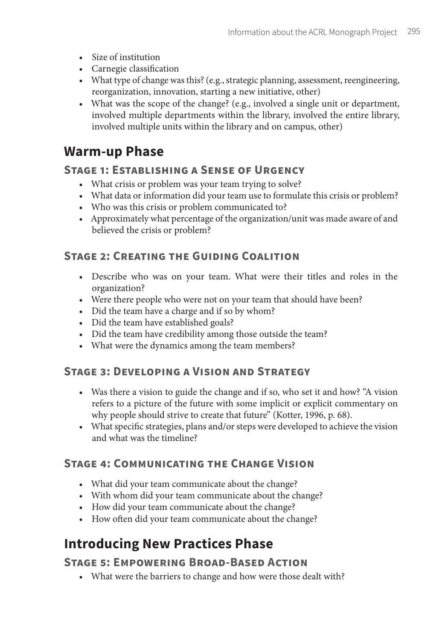- Size of institution
- Carnegie classification
- What type of change was this? (e.g., strategic planning, assessment, reengineering, reorganization, innovation, starting a new initiative, other)
- What was the scope of the change? (e.g., involved a single unit or department, involved multiple departments within the library, involved the entire library, involved multiple units within the library and on campus, other)

### **Warm-up Phase**

#### **Stage 1: Establishing a Sense of Urgency**

- What crisis or problem was your team trying to solve?
- What data or information did your team use to formulate this crisis or problem?
- Who was this crisis or problem communicated to?
- Approximately what percentage of the organization/unit was made aware of and believed the crisis or problem?

#### **Stage 2: Creating the Guiding Coalition**

- Describe who was on your team. What were their titles and roles in the organization?
- Were there people who were not on your team that should have been?
- Did the team have a charge and if so by whom?
- Did the team have established goals?
- Did the team have credibility among those outside the team?
- What were the dynamics among the team members?

#### **Stage 3: Developing a Vision and Strategy**

- Was there a vision to guide the change and if so, who set it and how? "A vision refers to a picture of the future with some implicit or explicit commentary on why people should strive to create that future" (Kotter, 1996, p. 68).
- What specific strategies, plans and/or steps were developed to achieve the vision and what was the timeline?

#### **Stage 4: Communicating the Change Vision**

- What did your team communicate about the change?
- With whom did your team communicate about the change?
- How did your team communicate about the change?
- How often did your team communicate about the change?

## **Introducing New Practices Phase**

#### **Stage 5: Empowering Broad-Based Action**

• What were the barriers to change and how were those dealt with?